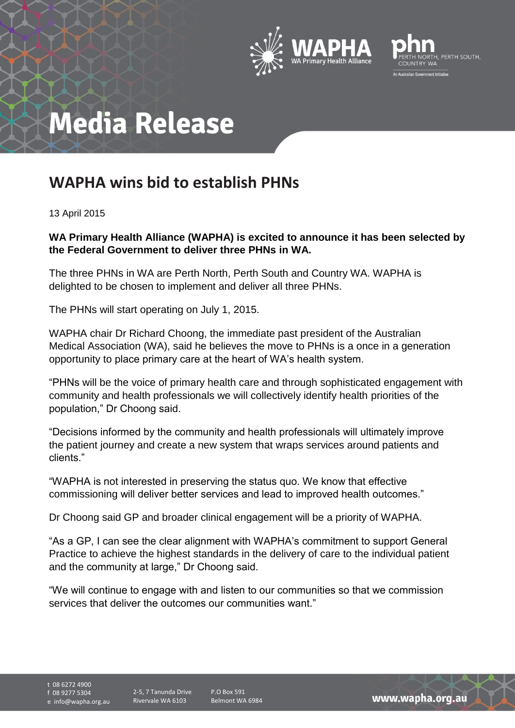



## **Media Release**

## **WAPHA wins bid to establish PHNs**

13 April 2015

## **WA Primary Health Alliance (WAPHA) is excited to announce it has been selected by the Federal Government to deliver three PHNs in WA.**

The three PHNs in WA are Perth North, Perth South and Country WA. WAPHA is delighted to be chosen to implement and deliver all three PHNs.

The PHNs will start operating on July 1, 2015.

WAPHA chair Dr Richard Choong, the immediate past president of the Australian Medical Association (WA), said he believes the move to PHNs is a once in a generation opportunity to place primary care at the heart of WA's health system.

"PHNs will be the voice of primary health care and through sophisticated engagement with community and health professionals we will collectively identify health priorities of the population," Dr Choong said.

"Decisions informed by the community and health professionals will ultimately improve the patient journey and create a new system that wraps services around patients and clients."

"WAPHA is not interested in preserving the status quo. We know that effective commissioning will deliver better services and lead to improved health outcomes."

Dr Choong said GP and broader clinical engagement will be a priority of WAPHA.

"As a GP, I can see the clear alignment with WAPHA's commitment to support General Practice to achieve the highest standards in the delivery of care to the individual patient and the community at large," Dr Choong said.

"We will continue to engage with and listen to our communities so that we commission services that deliver the outcomes our communities want."

t 08 6272 4900 f 08 9277 5304 e info@wapha.org.au

2-5, 7 Tanunda Drive Rivervale WA 6103

P.O Box 591 Belmont WA 6984

www.wapha.org.au